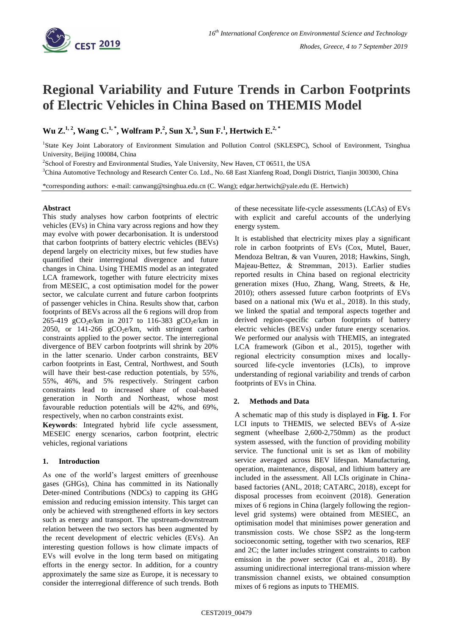

# **Regional Variability and Future Trends in Carbon Footprints of Electric Vehicles in China Based on THEMIS Model**

**Wu Z.1, 2, Wang C.1, \*, Wolfram P.<sup>2</sup> , Sun X.<sup>3</sup> , Sun F.<sup>1</sup> , Hertwich E.2, \***

<sup>1</sup>State Key Joint Laboratory of Environment Simulation and Pollution Control (SKLESPC), School of Environment, Tsinghua University, Beijing 100084, China

<sup>2</sup>School of Forestry and Environmental Studies, Yale University, New Haven, CT 06511, the USA <sup>3</sup>China Automotive Technology and Research Center Co. Ltd., No. 68 East Xianfeng Road, Dongli District, Tianjin 300300, China

\*corresponding authors: e-mail: canwang@tsinghua.edu.cn (C. Wang); edgar.hertwich@yale.edu (E. Hertwich)

## **Abstract**

This study analyses how carbon footprints of electric vehicles (EVs) in China vary across regions and how they may evolve with power decarbonisation. It is understood that carbon footprints of battery electric vehicles (BEVs) depend largely on electricity mixes, but few studies have quantified their interregional divergence and future changes in China. Using THEMIS model as an integrated LCA framework, together with future electricity mixes from MESEIC, a cost optimisation model for the power sector, we calculate current and future carbon footprints of passenger vehicles in China. Results show that, carbon footprints of BEVs across all the 6 regions will drop from 265-419 gCO<sub>2</sub>e/km in 2017 to 116-383 gCO<sub>2</sub>e/km in 2050, or 141-266  $gCO<sub>2</sub>e/km$ , with stringent carbon constraints applied to the power sector. The interregional divergence of BEV carbon footprints will shrink by 20% in the latter scenario. Under carbon constraints, BEV carbon footprints in East, Central, Northwest, and South will have their best-case reduction potentials, by 55%, 55%, 46%, and 5% respectively. Stringent carbon constraints lead to increased share of coal-based generation in North and Northeast, whose most favourable reduction potentials will be 42%, and 69%, respectively, when no carbon constraints exist.

**Keywords**: Integrated hybrid life cycle assessment, MESEIC energy scenarios, carbon footprint, electric vehicles, regional variations

## **1. Introduction**

As one of the world's largest emitters of greenhouse gases (GHGs), China has committed in its Nationally Deter-mined Contributions (NDCs) to capping its GHG emission and reducing emission intensity. This target can only be achieved with strengthened efforts in key sectors such as energy and transport. The upstream-downstream relation between the two sectors has been augmented by the recent development of electric vehicles (EVs). An interesting question follows is how climate impacts of EVs will evolve in the long term based on mitigating efforts in the energy sector. In addition, for a country approximately the same size as Europe, it is necessary to consider the interregional difference of such trends. Both of these necessitate life-cycle assessments (LCAs) of EVs with explicit and careful accounts of the underlying energy system.

It is established that electricity mixes play a significant role in carbon footprints of EVs (Cox, Mutel, Bauer, Mendoza Beltran, & van Vuuren, 2018; Hawkins, Singh, Majeau-Bettez, & Strømman, 2013). Earlier studies reported results in China based on regional electricity generation mixes (Huo, Zhang, Wang, Streets, & He, 2010); others assessed future carbon footprints of EVs based on a national mix (Wu et al., 2018). In this study, we linked the spatial and temporal aspects together and derived region-specific carbon footprints of battery electric vehicles (BEVs) under future energy scenarios. We performed our analysis with THEMIS, an integrated LCA framework (Gibon et al., 2015), together with regional electricity consumption mixes and locallysourced life-cycle inventories (LCIs), to improve understanding of regional variability and trends of carbon footprints of EVs in China.

# **2. Methods and Data**

A schematic map of this study is displayed in **Fig. 1**. For LCI inputs to THEMIS, we selected BEVs of A-size segment (wheelbase 2,600-2,750mm) as the product system assessed, with the function of providing mobility service. The functional unit is set as 1km of mobility service averaged across BEV lifespan. Manufacturing, operation, maintenance, disposal, and lithium battery are included in the assessment. All LCIs originate in Chinabased factories (ANL, 2018; CATARC, 2018), except for disposal processes from ecoinvent (2018). Generation mixes of 6 regions in China (largely following the regionlevel grid systems) were obtained from MESIEC, an optimisation model that minimises power generation and transmission costs. We chose SSP2 as the long-term socioeconomic setting, together with two scenarios, REF and 2C; the latter includes stringent constraints to carbon emission in the power sector (Cai et al., 2018). By assuming unidirectional interregional trans-mission where transmission channel exists, we obtained consumption mixes of 6 regions as inputs to THEMIS.